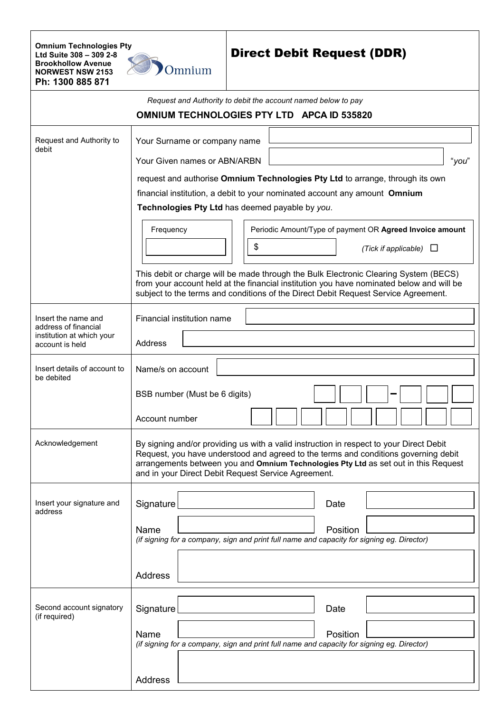**Omnium Technologies Pty Ltd Suite 308 – 309 2-8 Brookhollow Avenue NORWEST NSW 2153 Ph: 1300 885 871**



## Direct Debit Request (DDR)

|                                                                                             | Request and Authority to debit the account named below to pay                                                                                                                                                                                                                                                                                                                                                                                                                                                                                                                                                                                                                 |
|---------------------------------------------------------------------------------------------|-------------------------------------------------------------------------------------------------------------------------------------------------------------------------------------------------------------------------------------------------------------------------------------------------------------------------------------------------------------------------------------------------------------------------------------------------------------------------------------------------------------------------------------------------------------------------------------------------------------------------------------------------------------------------------|
|                                                                                             | OMNIUM TECHNOLOGIES PTY LTD APCA ID 535820                                                                                                                                                                                                                                                                                                                                                                                                                                                                                                                                                                                                                                    |
| Request and Authority to<br>debit                                                           | Your Surname or company name<br>Your Given names or ABN/ARBN<br>"you"<br>request and authorise Omnium Technologies Pty Ltd to arrange, through its own<br>financial institution, a debit to your nominated account any amount Omnium<br>Technologies Pty Ltd has deemed payable by you.<br>Periodic Amount/Type of payment OR Agreed Invoice amount<br>Frequency<br>\$<br>(Tick if applicable)<br>ப<br>This debit or charge will be made through the Bulk Electronic Clearing System (BECS)<br>from your account held at the financial institution you have nominated below and will be<br>subject to the terms and conditions of the Direct Debit Request Service Agreement. |
| Insert the name and<br>address of financial<br>institution at which your<br>account is held | Financial institution name<br>Address                                                                                                                                                                                                                                                                                                                                                                                                                                                                                                                                                                                                                                         |
| Insert details of account to<br>be debited                                                  | Name/s on account<br>BSB number (Must be 6 digits)                                                                                                                                                                                                                                                                                                                                                                                                                                                                                                                                                                                                                            |
|                                                                                             | Account number                                                                                                                                                                                                                                                                                                                                                                                                                                                                                                                                                                                                                                                                |
| Acknowledgement                                                                             | By signing and/or providing us with a valid instruction in respect to your Direct Debit<br>Request, you have understood and agreed to the terms and conditions governing debit<br>arrangements between you and Omnium Technologies Pty Ltd as set out in this Request<br>and in your Direct Debit Request Service Agreement.                                                                                                                                                                                                                                                                                                                                                  |
| Insert your signature and<br>address                                                        | Signature<br>Date<br>Name<br>Position<br>(if signing for a company, sign and print full name and capacity for signing eg. Director)<br>Address                                                                                                                                                                                                                                                                                                                                                                                                                                                                                                                                |
| Second account signatory<br>(if required)                                                   | Signature<br>Date<br>Name<br>Position<br>(if signing for a company, sign and print full name and capacity for signing eg. Director)                                                                                                                                                                                                                                                                                                                                                                                                                                                                                                                                           |
|                                                                                             | <b>Address</b>                                                                                                                                                                                                                                                                                                                                                                                                                                                                                                                                                                                                                                                                |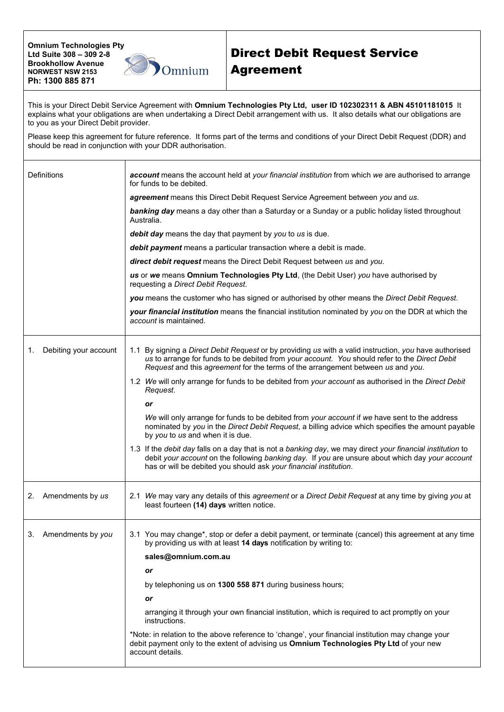**Omnium Technologies Pty Ltd Suite 308 – 309 2-8 Brookhollow Avenue NORWEST NSW 2153 Ph: 1300 885 871**



## Direct Debit Request Service Agreement

This is your Direct Debit Service Agreement with **Omnium Technologies Pty Ltd, user ID 102302311 & ABN 45101181015** It explains what your obligations are when undertaking a Direct Debit arrangement with us. It also details what our obligations are to you as your Direct Debit provider.

Please keep this agreement for future reference. It forms part of the terms and conditions of your Direct Debit Request (DDR) and should be read in conjunction with your DDR authorisation.

| Definitions                 | account means the account held at your financial institution from which we are authorised to arrange<br>for funds to be debited.                                                                                                                                                           |
|-----------------------------|--------------------------------------------------------------------------------------------------------------------------------------------------------------------------------------------------------------------------------------------------------------------------------------------|
|                             | agreement means this Direct Debit Request Service Agreement between you and us.                                                                                                                                                                                                            |
|                             | banking day means a day other than a Saturday or a Sunday or a public holiday listed throughout<br>Australia.                                                                                                                                                                              |
|                             | debit day means the day that payment by you to us is due.                                                                                                                                                                                                                                  |
|                             | debit payment means a particular transaction where a debit is made.                                                                                                                                                                                                                        |
|                             | direct debit request means the Direct Debit Request between us and you.                                                                                                                                                                                                                    |
|                             | us or we means Omnium Technologies Pty Ltd, (the Debit User) you have authorised by<br>requesting a Direct Debit Request.                                                                                                                                                                  |
|                             | you means the customer who has signed or authorised by other means the Direct Debit Request.                                                                                                                                                                                               |
|                             | your financial institution means the financial institution nominated by you on the DDR at which the<br>account is maintained.                                                                                                                                                              |
| Debiting your account<br>1. | 1.1 By signing a Direct Debit Request or by providing us with a valid instruction, you have authorised<br>us to arrange for funds to be debited from your account. You should refer to the Direct Debit<br>Request and this agreement for the terms of the arrangement between us and you. |
|                             | 1.2 We will only arrange for funds to be debited from your account as authorised in the Direct Debit<br>Request.                                                                                                                                                                           |
|                             | or                                                                                                                                                                                                                                                                                         |
|                             | We will only arrange for funds to be debited from your account if we have sent to the address<br>nominated by you in the Direct Debit Request, a billing advice which specifies the amount payable<br>by you to us and when it is due.                                                     |
|                             | 1.3 If the debit day falls on a day that is not a banking day, we may direct your financial institution to<br>debit your account on the following banking day. If you are unsure about which day your account<br>has or will be debited you should ask your financial institution.         |
| Amendments by us<br>2.      | 2.1 We may vary any details of this agreement or a Direct Debit Request at any time by giving you at<br>least fourteen (14) days written notice.                                                                                                                                           |
| 3. Amendments by you        | 3.1 You may change*, stop or defer a debit payment, or terminate (cancel) this agreement at any time<br>by providing us with at least 14 days notification by writing to:                                                                                                                  |
|                             | sales@omnium.com.au                                                                                                                                                                                                                                                                        |
|                             | or                                                                                                                                                                                                                                                                                         |
|                             | by telephoning us on 1300 558 871 during business hours;                                                                                                                                                                                                                                   |
|                             | or                                                                                                                                                                                                                                                                                         |
|                             | arranging it through your own financial institution, which is required to act promptly on your<br>instructions.                                                                                                                                                                            |
|                             | *Note: in relation to the above reference to 'change', your financial institution may change your<br>debit payment only to the extent of advising us Omnium Technologies Pty Ltd of your new<br>account details.                                                                           |